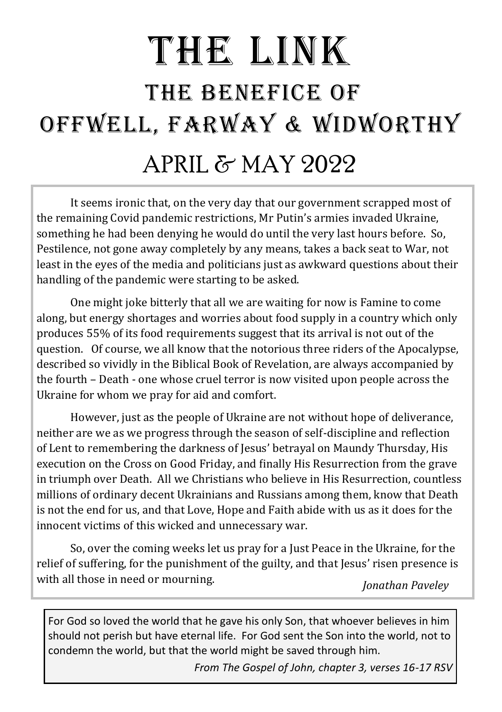# THE LINK THE BENEFICE OF OFFWELL, FARWAY & WIDWORTHY APRIL & MAY 2022

It seems ironic that, on the very day that our government scrapped most of the remaining Covid pandemic restrictions, Mr Putin's armies invaded Ukraine, something he had been denying he would do until the very last hours before. So, Pestilence, not gone away completely by any means, takes a back seat to War, not least in the eyes of the media and politicians just as awkward questions about their handling of the pandemic were starting to be asked.

One might joke bitterly that all we are waiting for now is Famine to come along, but energy shortages and worries about food supply in a country which only produces 55% of its food requirements suggest that its arrival is not out of the question. Of course, we all know that the notorious three riders of the Apocalypse, described so vividly in the Biblical Book of Revelation, are always accompanied by the fourth – Death - one whose cruel terror is now visited upon people across the Ukraine for whom we pray for aid and comfort.

However, just as the people of Ukraine are not without hope of deliverance, neither are we as we progress through the season of self-discipline and reflection of Lent to remembering the darkness of Jesus' betrayal on Maundy Thursday, His execution on the Cross on Good Friday, and finally His Resurrection from the grave in triumph over Death. All we Christians who believe in His Resurrection, countless millions of ordinary decent Ukrainians and Russians among them, know that Death is not the end for us, and that Love, Hope and Faith abide with us as it does for the innocent victims of this wicked and unnecessary war.

So, over the coming weeks let us pray for a Just Peace in the Ukraine, for the relief of suffering, for the punishment of the guilty, and that Jesus' risen presence is with all those in need or mourning. *Jonathan Paveley*

For God so loved the world that he gave his only Son, that whoever believes in him should not perish but have eternal life. For God sent the Son into the world, not to condemn the world, but that the world might be saved through him.

*From The Gospel of John, chapter 3, verses 16-17 RSV*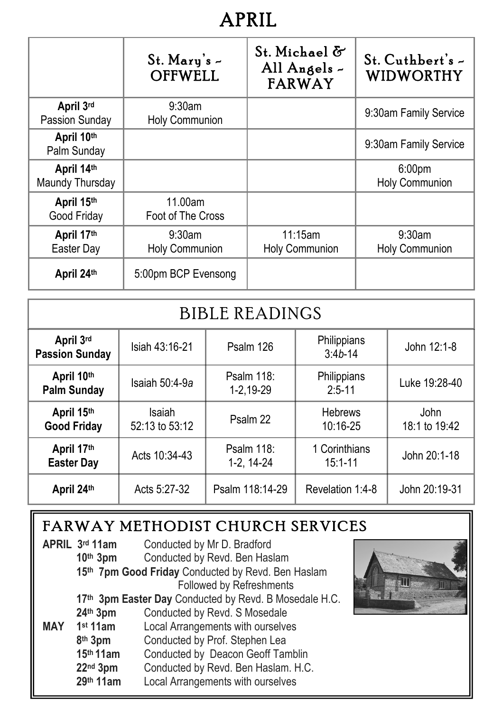## **APRIL**

|                               | St. Mary's $-$<br><b>OFFWELL</b> | St. Michael &<br>All Angels $\sim$<br><b>FARWAY</b> | St. Cuthbert's -<br><b>WIDWORTHY</b> |
|-------------------------------|----------------------------------|-----------------------------------------------------|--------------------------------------|
| April 3rd<br>Passion Sunday   | $9:30$ am<br>Holy Communion      |                                                     | 9:30am Family Service                |
| April 10th<br>Palm Sunday     |                                  |                                                     | 9:30am Family Service                |
| April 14th<br>Maundy Thursday |                                  |                                                     | 6:00 <sub>pm</sub><br>Holy Communion |
| April 15th<br>Good Friday     | 11.00am<br>Foot of The Cross     |                                                     |                                      |
| April 17th<br>Easter Day      | $9:30$ am<br>Holy Communion      | 11:15am<br><b>Holy Communion</b>                    | 9:30am<br>Holy Communion             |
| April 24th                    | 5:00pm BCP Evensong              |                                                     |                                      |

| <b>BIBLE READINGS</b>              |                                                         |                          |                              |                       |
|------------------------------------|---------------------------------------------------------|--------------------------|------------------------------|-----------------------|
| April 3rd<br><b>Passion Sunday</b> | Philippians<br>Isiah 43:16-21<br>Psalm 126<br>$3:4b-14$ |                          | John 12:1-8                  |                       |
| April 10th<br><b>Palm Sunday</b>   | Isaiah 50:4-9a                                          | Psalm 118:<br>1-2,19-29  | Philippians<br>$2:5-11$      | Luke 19:28-40         |
| April 15th<br><b>Good Friday</b>   | Isaiah<br>52:13 to 53:12                                | Psalm 22                 | <b>Hebrews</b><br>10:16-25   | John<br>18:1 to 19:42 |
| April 17th<br><b>Easter Day</b>    | Acts 10:34-43                                           | Psalm 118:<br>1-2, 14-24 | 1 Corinthians<br>$15:1 - 11$ | John 20:1-18          |
| April 24th                         | Acts 5:27-32                                            | Psalm 118:14-29          | Revelation 1:4-8             | John 20:19-31         |

#### FARWAY METHODIST CHURCH SERVICES

|            | APRIL 3rd 11am<br>Conducted by Mr D. Bradford          |                                     |  |  |
|------------|--------------------------------------------------------|-------------------------------------|--|--|
|            | 10 <sup>th</sup> 3 <sub>pm</sub>                       | Conducted by Revd. Ben Haslam       |  |  |
|            | 15th 7pm Good Friday Conducted by Revd. Ben Haslam     |                                     |  |  |
|            |                                                        | Followed by Refreshments            |  |  |
|            | 17th 3pm Easter Day Conducted by Revd. B Mosedale H.C. |                                     |  |  |
|            | 24th 3pm                                               | Conducted by Revd. S Mosedale       |  |  |
| <b>MAY</b> | 1 <sup>st</sup> 11am                                   | Local Arrangements with ourselves   |  |  |
|            | 8th 3pm                                                | Conducted by Prof. Stephen Lea      |  |  |
|            | 15th 11am                                              | Conducted by Deacon Geoff Tamblin   |  |  |
|            | 22nd 3pm                                               | Conducted by Revd. Ben Haslam. H.C. |  |  |
|            | 29th 11am                                              | Local Arrangements with ourselves   |  |  |

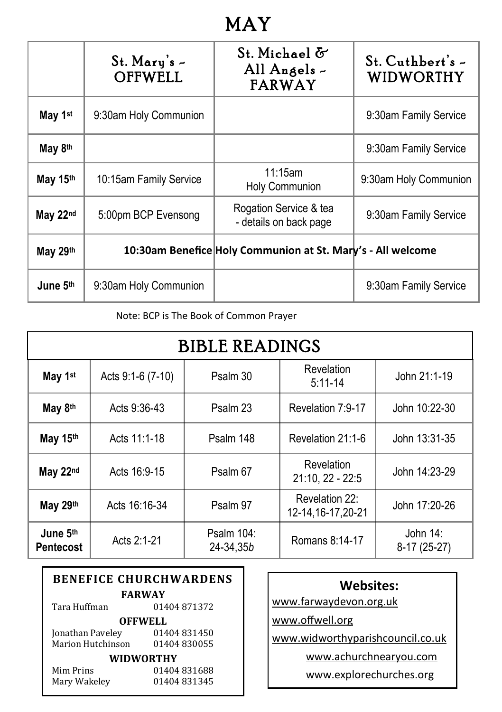### **MAY**

|                     | $St.$ Mary's $\sim$<br><b>OFFWELL</b> | St. Michael &<br>All Angels -<br><b>FARWAY</b>              | $St.$ Cuthbert's $-$<br><b>WIDWORTHY</b> |
|---------------------|---------------------------------------|-------------------------------------------------------------|------------------------------------------|
| May 1 <sup>st</sup> | 9:30am Holy Communion                 |                                                             | 9:30am Family Service                    |
| May 8th             |                                       |                                                             | 9:30am Family Service                    |
| May 15th            | 10:15am Family Service                | 11:15am<br><b>Holy Communion</b>                            | 9:30am Holy Communion                    |
| May 22nd            | 5:00pm BCP Evensong                   | Rogation Service & tea<br>- details on back page            | 9:30am Family Service                    |
| May 29th            |                                       | 10:30am Benefice Holy Communion at St. Mary's - All welcome |                                          |
| June 5th            | 9:30am Holy Communion                 |                                                             | 9:30am Family Service                    |

Note: BCP is The Book of Common Prayer

| <b>BIBLE READINGS</b>        |                   |                         |                                       |                             |
|------------------------------|-------------------|-------------------------|---------------------------------------|-----------------------------|
| May 1st                      | Acts 9:1-6 (7-10) | Psalm 30                | Revelation<br>$5:11 - 14$             | John 21:1-19                |
| May 8th                      | Acts 9:36-43      | Psalm 23                | Revelation 7:9-17                     | John 10:22-30               |
| May 15th                     | Acts 11:1-18      | Psalm 148               | Revelation 21:1-6                     | John 13:31-35               |
| May 22nd                     | Acts 16:9-15      | Psalm 67                | Revelation<br>$21:10, 22 - 22:5$      | John 14:23-29               |
| May 29th                     | Acts 16:16-34     | Psalm 97                | Revelation 22:<br>12-14, 16-17, 20-21 | John 17:20-26               |
| June 5th<br><b>Pentecost</b> | Acts 2:1-21       | Psalm 104:<br>24-34,35b | Romans 8:14-17                        | John $14$ :<br>8-17 (25-27) |

| <b>BENEFICE CHURCHWARDENS</b> |             |  |  |
|-------------------------------|-------------|--|--|
| <b>FARWAY</b>                 |             |  |  |
| Tara Huffman                  | 01404871372 |  |  |
| OFFWELL                       |             |  |  |
| Jonathan Paveley              | 01404831450 |  |  |
| Marion Hutchinson             | 01404830055 |  |  |
| WIDWORTHY                     |             |  |  |
| Mim Prins                     | 01404831688 |  |  |
| Mary Wakelev                  | 01404831345 |  |  |

www.farwaydevon.org.uk

www.offwell.org

www.widworthyparishcouncil.co.uk

www.achurchnearyou.com

www.explorechurches.org